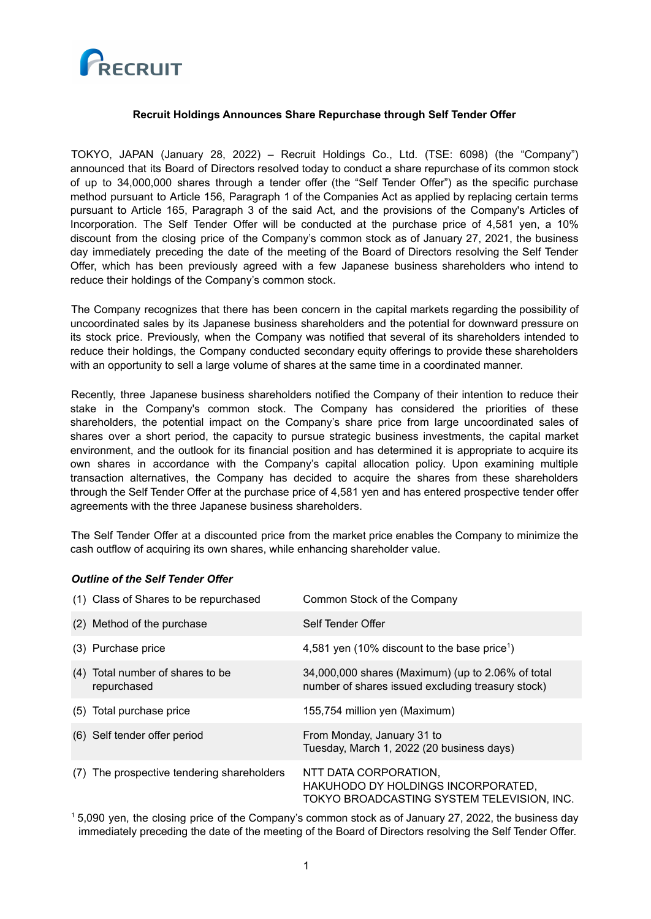

## **Recruit Holdings Announces Share Repurchase through Self Tender Offer**

TOKYO, JAPAN (January 28, 2022) – Recruit Holdings Co., Ltd. (TSE: 6098) (the "Company") announced that its Board of Directors resolved today to conduct a share repurchase of its common stock of up to 34,000,000 shares through a tender offer (the "Self Tender Offer") as the specific purchase method pursuant to Article 156, Paragraph 1 of the Companies Act as applied by replacing certain terms pursuant to Article 165, Paragraph 3 of the said Act, and the provisions of the Company's Articles of Incorporation. The Self Tender Offer will be conducted at the purchase price of 4,581 yen, a 10% discount from the closing price of the Company's common stock as of January 27, 2021, the business day immediately preceding the date of the meeting of the Board of Directors resolving the Self Tender Offer, which has been previously agreed with a few Japanese business shareholders who intend to reduce their holdings of the Company's common stock.

The Company recognizes that there has been concern in the capital markets regarding the possibility of uncoordinated sales by its Japanese business shareholders and the potential for downward pressure on its stock price. Previously, when the Company was notified that several of its shareholders intended to reduce their holdings, the Company conducted secondary equity offerings to provide these shareholders with an opportunity to sell a large volume of shares at the same time in a coordinated manner.

Recently, three Japanese business shareholders notified the Company of their intention to reduce their stake in the Company's common stock. The Company has considered the priorities of these shareholders, the potential impact on the Company's share price from large uncoordinated sales of shares over a short period, the capacity to pursue strategic business investments, the capital market environment, and the outlook for its financial position and has determined it is appropriate to acquire its own shares in accordance with the Company's capital allocation policy. Upon examining multiple transaction alternatives, the Company has decided to acquire the shares from these shareholders through the Self Tender Offer at the purchase price of 4,581 yen and has entered prospective tender offer agreements with the three Japanese business shareholders.

The Self Tender Offer at a discounted price from the market price enables the Company to minimize the cash outflow of acquiring its own shares, while enhancing shareholder value.

| (1) Class of Shares to be repurchased           | Common Stock of the Company                                                                               |  |
|-------------------------------------------------|-----------------------------------------------------------------------------------------------------------|--|
| (2) Method of the purchase                      | Self Tender Offer                                                                                         |  |
| (3) Purchase price                              | 4,581 yen (10% discount to the base price <sup>1</sup> )                                                  |  |
| (4) Total number of shares to be<br>repurchased | 34,000,000 shares (Maximum) (up to 2.06% of total<br>number of shares issued excluding treasury stock)    |  |
| (5) Total purchase price                        | 155,754 million yen (Maximum)                                                                             |  |
| (6) Self tender offer period                    | From Monday, January 31 to<br>Tuesday, March 1, 2022 (20 business days)                                   |  |
| The prospective tendering shareholders<br>(7)   | NTT DATA CORPORATION,<br>HAKUHODO DY HOLDINGS INCORPORATED,<br>TOKYO BROADCASTING SYSTEM TELEVISION, INC. |  |

### *Outline of the Self Tender Offer*

<sup>1</sup> 5,090 yen, the closing price of the Company's common stock as of January 27, 2022, the business day immediately preceding the date of the meeting of the Board of Directors resolving the Self Tender Offer.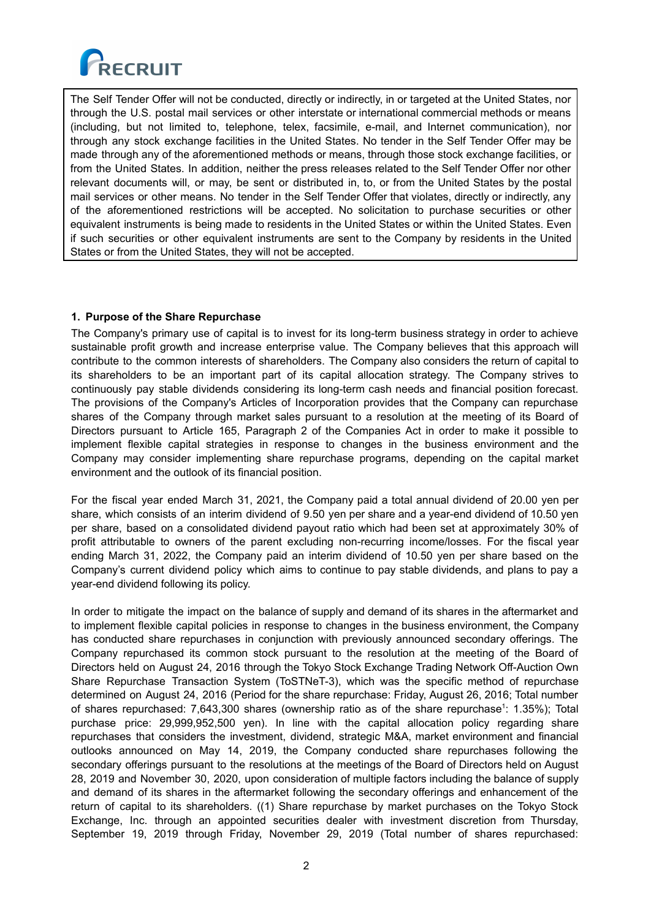

The Self Tender Offer will not be conducted, directly or indirectly, in or targeted at the United States, nor through the U.S. postal mail services or other interstate or international commercial methods or means (including, but not limited to, telephone, telex, facsimile, e-mail, and Internet communication), nor through any stock exchange facilities in the United States. No tender in the Self Tender Offer may be made through any of the aforementioned methods or means, through those stock exchange facilities, or from the United States. In addition, neither the press releases related to the Self Tender Offer nor other relevant documents will, or may, be sent or distributed in, to, or from the United States by the postal mail services or other means. No tender in the Self Tender Offer that violates, directly or indirectly, any of the aforementioned restrictions will be accepted. No solicitation to purchase securities or other equivalent instruments is being made to residents in the United States or within the United States. Even if such securities or other equivalent instruments are sent to the Company by residents in the United States or from the United States, they will not be accepted.

# **1. Purpose of the Share Repurchase**

The Company's primary use of capital is to invest for its long-term business strategy in order to achieve sustainable profit growth and increase enterprise value. The Company believes that this approach will contribute to the common interests of shareholders. The Company also considers the return of capital to its shareholders to be an important part of its capital allocation strategy. The Company strives to continuously pay stable dividends considering its long-term cash needs and financial position forecast. The provisions of the Company's Articles of Incorporation provides that the Company can repurchase shares of the Company through market sales pursuant to a resolution at the meeting of its Board of Directors pursuant to Article 165, Paragraph 2 of the Companies Act in order to make it possible to implement flexible capital strategies in response to changes in the business environment and the Company may consider implementing share repurchase programs, depending on the capital market environment and the outlook of its financial position.

For the fiscal year ended March 31, 2021, the Company paid a total annual dividend of 20.00 yen per share, which consists of an interim dividend of 9.50 yen per share and a year-end dividend of 10.50 yen per share, based on a consolidated dividend payout ratio which had been set at approximately 30% of profit attributable to owners of the parent excluding non-recurring income/losses. For the fiscal year ending March 31, 2022, the Company paid an interim dividend of 10.50 yen per share based on the Company's current dividend policy which aims to continue to pay stable dividends, and plans to pay a year-end dividend following its policy.

In order to mitigate the impact on the balance of supply and demand of its shares in the aftermarket and to implement flexible capital policies in response to changes in the business environment, the Company has conducted share repurchases in conjunction with previously announced secondary offerings. The Company repurchased its common stock pursuant to the resolution at the meeting of the Board of Directors held on August 24, 2016 through the Tokyo Stock Exchange Trading Network Off-Auction Own Share Repurchase Transaction System (ToSTNeT-3), which was the specific method of repurchase determined on August 24, 2016 (Period for the share repurchase: Friday, August 26, 2016; Total number of shares repurchased: 7,643,300 shares (ownership ratio as of the share repurchase<sup>1</sup>: 1.35%); Total purchase price: 29,999,952,500 yen). In line with the capital allocation policy regarding share repurchases that considers the investment, dividend, strategic M&A, market environment and financial outlooks announced on May 14, 2019, the Company conducted share repurchases following the secondary offerings pursuant to the resolutions at the meetings of the Board of Directors held on August 28, 2019 and November 30, 2020, upon consideration of multiple factors including the balance of supply and demand of its shares in the aftermarket following the secondary offerings and enhancement of the return of capital to its shareholders. ((1) Share repurchase by market purchases on the Tokyo Stock Exchange, Inc. through an appointed securities dealer with investment discretion from Thursday, September 19, 2019 through Friday, November 29, 2019 (Total number of shares repurchased: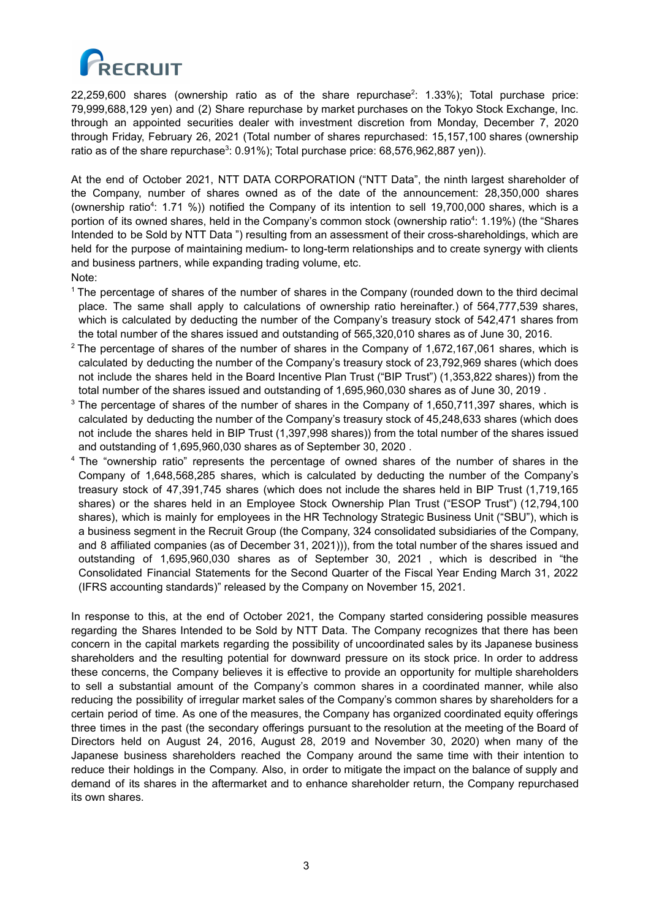

 $22,259,600$  shares (ownership ratio as of the share repurchase<sup>2</sup>: 1.33%); Total purchase price: 79,999,688,129 yen) and (2) Share repurchase by market purchases on the Tokyo Stock Exchange, Inc. through an appointed securities dealer with investment discretion from Monday, December 7, 2020 through Friday, February 26, 2021 (Total number of shares repurchased: 15,157,100 shares (ownership ratio as of the share repurchase $3: 0.91\%$ ); Total purchase price: 68,576,962,887 yen)).

At the end of October 2021, NTT DATA CORPORATION ("NTT Data", the ninth largest shareholder of the Company, number of shares owned as of the date of the announcement: 28,350,000 shares (ownership ratio<sup>4</sup>: 1.71 %)) notified the Company of its intention to sell 19,700,000 shares, which is a portion of its owned shares, held in the Company's common stock (ownership ratio<sup>4</sup>: 1.19%) (the "Shares Intended to be Sold by NTT Data ") resulting from an assessment of their cross-shareholdings, which are held for the purpose of maintaining medium- to long-term relationships and to create synergy with clients and business partners, while expanding trading volume, etc. Note:

- $1$  The percentage of shares of the number of shares in the Company (rounded down to the third decimal place. The same shall apply to calculations of ownership ratio hereinafter.) of 564,777,539 shares, which is calculated by deducting the number of the Company's treasury stock of 542,471 shares from the total number of the shares issued and outstanding of 565,320,010 shares as of June 30, 2016.
- <sup>2</sup> The percentage of shares of the number of shares in the Company of 1,672,167,061 shares, which is calculated by deducting the number of the Company's treasury stock of 23,792,969 shares (which does not include the shares held in the Board Incentive Plan Trust ("BIP Trust") (1,353,822 shares)) from the total number of the shares issued and outstanding of 1,695,960,030 shares as of June 30, 2019 .
- $3$  The percentage of shares of the number of shares in the Company of 1,650,711,397 shares, which is calculated by deducting the number of the Company's treasury stock of 45,248,633 shares (which does not include the shares held in BIP Trust (1,397,998 shares)) from the total number of the shares issued and outstanding of 1,695,960,030 shares as of September 30, 2020 .
- <sup>4</sup> The "ownership ratio" represents the percentage of owned shares of the number of shares in the Company of 1,648,568,285 shares, which is calculated by deducting the number of the Company's treasury stock of 47,391,745 shares (which does not include the shares held in BIP Trust (1,719,165 shares) or the shares held in an Employee Stock Ownership Plan Trust ("ESOP Trust") (12,794,100 shares), which is mainly for employees in the HR Technology Strategic Business Unit ("SBU"), which is a business segment in the Recruit Group (the Company, 324 consolidated subsidiaries of the Company, and 8 affiliated companies (as of December 31, 2021))), from the total number of the shares issued and outstanding of 1,695,960,030 shares as of September 30, 2021 , which is described in "the Consolidated Financial Statements for the Second Quarter of the Fiscal Year Ending March 31, 2022 (IFRS accounting standards)" released by the Company on November 15, 2021.

In response to this, at the end of October 2021, the Company started considering possible measures regarding the Shares Intended to be Sold by NTT Data. The Company recognizes that there has been concern in the capital markets regarding the possibility of uncoordinated sales by its Japanese business shareholders and the resulting potential for downward pressure on its stock price. In order to address these concerns, the Company believes it is effective to provide an opportunity for multiple shareholders to sell a substantial amount of the Company's common shares in a coordinated manner, while also reducing the possibility of irregular market sales of the Company's common shares by shareholders for a certain period of time. As one of the measures, the Company has organized coordinated equity offerings three times in the past (the secondary offerings pursuant to the resolution at the meeting of the Board of Directors held on August 24, 2016, August 28, 2019 and November 30, 2020) when many of the Japanese business shareholders reached the Company around the same time with their intention to reduce their holdings in the Company. Also, in order to mitigate the impact on the balance of supply and demand of its shares in the aftermarket and to enhance shareholder return, the Company repurchased its own shares.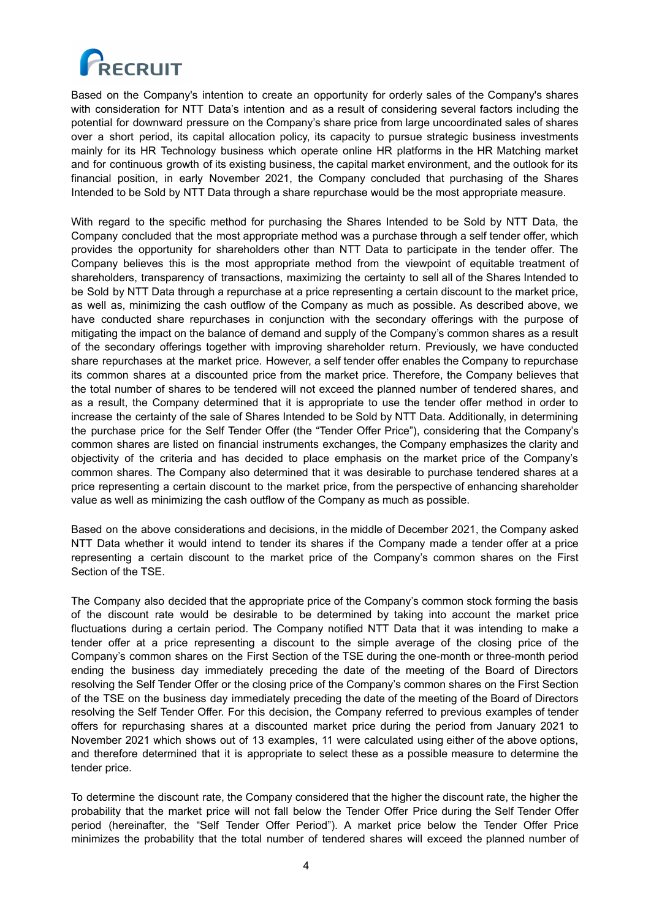

Based on the Company's intention to create an opportunity for orderly sales of the Company's shares with consideration for NTT Data's intention and as a result of considering several factors including the potential for downward pressure on the Company's share price from large uncoordinated sales of shares over a short period, its capital allocation policy, its capacity to pursue strategic business investments mainly for its HR Technology business which operate online HR platforms in the HR Matching market and for continuous growth of its existing business, the capital market environment, and the outlook for its financial position, in early November 2021, the Company concluded that purchasing of the Shares Intended to be Sold by NTT Data through a share repurchase would be the most appropriate measure.

With regard to the specific method for purchasing the Shares Intended to be Sold by NTT Data, the Company concluded that the most appropriate method was a purchase through a self tender offer, which provides the opportunity for shareholders other than NTT Data to participate in the tender offer. The Company believes this is the most appropriate method from the viewpoint of equitable treatment of shareholders, transparency of transactions, maximizing the certainty to sell all of the Shares Intended to be Sold by NTT Data through a repurchase at a price representing a certain discount to the market price, as well as, minimizing the cash outflow of the Company as much as possible. As described above, we have conducted share repurchases in conjunction with the secondary offerings with the purpose of mitigating the impact on the balance of demand and supply of the Company's common shares as a result of the secondary offerings together with improving shareholder return. Previously, we have conducted share repurchases at the market price. However, a self tender offer enables the Company to repurchase its common shares at a discounted price from the market price. Therefore, the Company believes that the total number of shares to be tendered will not exceed the planned number of tendered shares, and as a result, the Company determined that it is appropriate to use the tender offer method in order to increase the certainty of the sale of Shares Intended to be Sold by NTT Data. Additionally, in determining the purchase price for the Self Tender Offer (the "Tender Offer Price"), considering that the Company's common shares are listed on financial instruments exchanges, the Company emphasizes the clarity and objectivity of the criteria and has decided to place emphasis on the market price of the Company's common shares. The Company also determined that it was desirable to purchase tendered shares at a price representing a certain discount to the market price, from the perspective of enhancing shareholder value as well as minimizing the cash outflow of the Company as much as possible.

Based on the above considerations and decisions, in the middle of December 2021, the Company asked NTT Data whether it would intend to tender its shares if the Company made a tender offer at a price representing a certain discount to the market price of the Company's common shares on the First Section of the TSE.

The Company also decided that the appropriate price of the Company's common stock forming the basis of the discount rate would be desirable to be determined by taking into account the market price fluctuations during a certain period. The Company notified NTT Data that it was intending to make a tender offer at a price representing a discount to the simple average of the closing price of the Company's common shares on the First Section of the TSE during the one-month or three-month period ending the business day immediately preceding the date of the meeting of the Board of Directors resolving the Self Tender Offer or the closing price of the Company's common shares on the First Section of the TSE on the business day immediately preceding the date of the meeting of the Board of Directors resolving the Self Tender Offer. For this decision, the Company referred to previous examples of tender offers for repurchasing shares at a discounted market price during the period from January 2021 to November 2021 which shows out of 13 examples, 11 were calculated using either of the above options, and therefore determined that it is appropriate to select these as a possible measure to determine the tender price.

To determine the discount rate, the Company considered that the higher the discount rate, the higher the probability that the market price will not fall below the Tender Offer Price during the Self Tender Offer period (hereinafter, the "Self Tender Offer Period"). A market price below the Tender Offer Price minimizes the probability that the total number of tendered shares will exceed the planned number of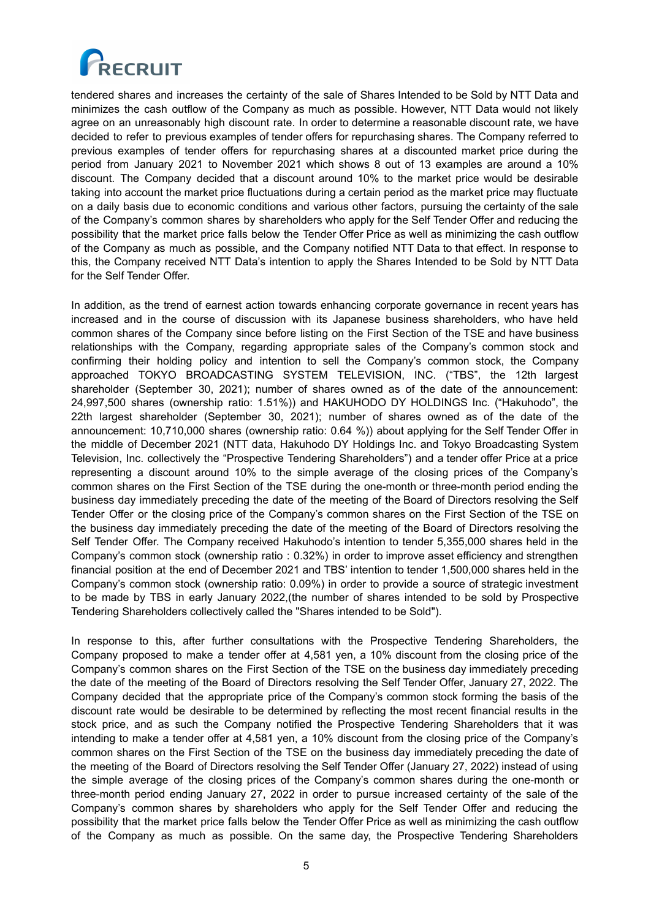

tendered shares and increases the certainty of the sale of Shares Intended to be Sold by NTT Data and minimizes the cash outflow of the Company as much as possible. However, NTT Data would not likely agree on an unreasonably high discount rate. In order to determine a reasonable discount rate, we have decided to refer to previous examples of tender offers for repurchasing shares. The Company referred to previous examples of tender offers for repurchasing shares at a discounted market price during the period from January 2021 to November 2021 which shows 8 out of 13 examples are around a 10% discount. The Company decided that a discount around 10% to the market price would be desirable taking into account the market price fluctuations during a certain period as the market price may fluctuate on a daily basis due to economic conditions and various other factors, pursuing the certainty of the sale of the Company's common shares by shareholders who apply for the Self Tender Offer and reducing the possibility that the market price falls below the Tender Offer Price as well as minimizing the cash outflow of the Company as much as possible, and the Company notified NTT Data to that effect. In response to this, the Company received NTT Data's intention to apply the Shares Intended to be Sold by NTT Data for the Self Tender Offer.

In addition, as the trend of earnest action towards enhancing corporate governance in recent years has increased and in the course of discussion with its Japanese business shareholders, who have held common shares of the Company since before listing on the First Section of the TSE and have business relationships with the Company, regarding appropriate sales of the Company's common stock and confirming their holding policy and intention to sell the Company's common stock, the Company approached TOKYO BROADCASTING SYSTEM TELEVISION, INC. ("TBS", the 12th largest shareholder (September 30, 2021); number of shares owned as of the date of the announcement: 24,997,500 shares (ownership ratio: 1.51%)) and HAKUHODO DY HOLDINGS Inc. ("Hakuhodo", the 22th largest shareholder (September 30, 2021); number of shares owned as of the date of the announcement: 10,710,000 shares (ownership ratio: 0.64 %)) about applying for the Self Tender Offer in the middle of December 2021 (NTT data, Hakuhodo DY Holdings Inc. and Tokyo Broadcasting System Television, Inc. collectively the "Prospective Tendering Shareholders") and a tender offer Price at a price representing a discount around 10% to the simple average of the closing prices of the Company's common shares on the First Section of the TSE during the one-month or three-month period ending the business day immediately preceding the date of the meeting of the Board of Directors resolving the Self Tender Offer or the closing price of the Company's common shares on the First Section of the TSE on the business day immediately preceding the date of the meeting of the Board of Directors resolving the Self Tender Offer. The Company received Hakuhodo's intention to tender 5,355,000 shares held in the Company's common stock (ownership ratio : 0.32%) in order to improve asset efficiency and strengthen financial position at the end of December 2021 and TBS' intention to tender 1,500,000 shares held in the Company's common stock (ownership ratio: 0.09%) in order to provide a source of strategic investment to be made by TBS in early January 2022,(the number of shares intended to be sold by Prospective Tendering Shareholders collectively called the "Shares intended to be Sold").

In response to this, after further consultations with the Prospective Tendering Shareholders, the Company proposed to make a tender offer at 4,581 yen, a 10% discount from the closing price of the Company's common shares on the First Section of the TSE on the business day immediately preceding the date of the meeting of the Board of Directors resolving the Self Tender Offer, January 27, 2022. The Company decided that the appropriate price of the Company's common stock forming the basis of the discount rate would be desirable to be determined by reflecting the most recent financial results in the stock price, and as such the Company notified the Prospective Tendering Shareholders that it was intending to make a tender offer at 4,581 yen, a 10% discount from the closing price of the Company's common shares on the First Section of the TSE on the business day immediately preceding the date of the meeting of the Board of Directors resolving the Self Tender Offer (January 27, 2022) instead of using the simple average of the closing prices of the Company's common shares during the one-month or three-month period ending January 27, 2022 in order to pursue increased certainty of the sale of the Company's common shares by shareholders who apply for the Self Tender Offer and reducing the possibility that the market price falls below the Tender Offer Price as well as minimizing the cash outflow of the Company as much as possible. On the same day, the Prospective Tendering Shareholders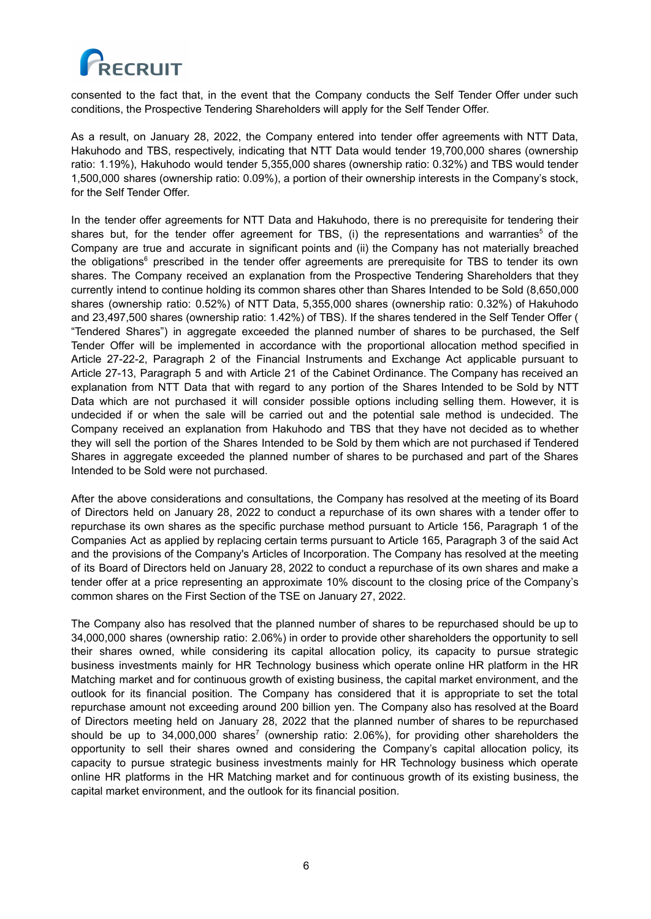

consented to the fact that, in the event that the Company conducts the Self Tender Offer under such conditions, the Prospective Tendering Shareholders will apply for the Self Tender Offer.

As a result, on January 28, 2022, the Company entered into tender offer agreements with NTT Data, Hakuhodo and TBS, respectively, indicating that NTT Data would tender 19,700,000 shares (ownership ratio: 1.19%), Hakuhodo would tender 5,355,000 shares (ownership ratio: 0.32%) and TBS would tender 1,500,000 shares (ownership ratio: 0.09%), a portion of their ownership interests in the Company's stock, for the Self Tender Offer.

In the tender offer agreements for NTT Data and Hakuhodo, there is no prerequisite for tendering their shares but, for the tender offer agreement for TBS, (i) the representations and warranties<sup>5</sup> of the Company are true and accurate in significant points and (ii) the Company has not materially breached the obligations<sup>6</sup> prescribed in the tender offer agreements are prerequisite for TBS to tender its own shares. The Company received an explanation from the Prospective Tendering Shareholders that they currently intend to continue holding its common shares other than Shares Intended to be Sold (8,650,000 shares (ownership ratio: 0.52%) of NTT Data, 5,355,000 shares (ownership ratio: 0.32%) of Hakuhodo and 23,497,500 shares (ownership ratio: 1.42%) of TBS). If the shares tendered in the Self Tender Offer ( "Tendered Shares") in aggregate exceeded the planned number of shares to be purchased, the Self Tender Offer will be implemented in accordance with the proportional allocation method specified in Article 27-22-2, Paragraph 2 of the Financial Instruments and Exchange Act applicable pursuant to Article 27-13, Paragraph 5 and with Article 21 of the Cabinet Ordinance. The Company has received an explanation from NTT Data that with regard to any portion of the Shares Intended to be Sold by NTT Data which are not purchased it will consider possible options including selling them. However, it is undecided if or when the sale will be carried out and the potential sale method is undecided. The Company received an explanation from Hakuhodo and TBS that they have not decided as to whether they will sell the portion of the Shares Intended to be Sold by them which are not purchased if Tendered Shares in aggregate exceeded the planned number of shares to be purchased and part of the Shares Intended to be Sold were not purchased.

After the above considerations and consultations, the Company has resolved at the meeting of its Board of Directors held on January 28, 2022 to conduct a repurchase of its own shares with a tender offer to repurchase its own shares as the specific purchase method pursuant to Article 156, Paragraph 1 of the Companies Act as applied by replacing certain terms pursuant to Article 165, Paragraph 3 of the said Act and the provisions of the Company's Articles of Incorporation. The Company has resolved at the meeting of its Board of Directors held on January 28, 2022 to conduct a repurchase of its own shares and make a tender offer at a price representing an approximate 10% discount to the closing price of the Company's common shares on the First Section of the TSE on January 27, 2022.

The Company also has resolved that the planned number of shares to be repurchased should be up to 34,000,000 shares (ownership ratio: 2.06%) in order to provide other shareholders the opportunity to sell their shares owned, while considering its capital allocation policy, its capacity to pursue strategic business investments mainly for HR Technology business which operate online HR platform in the HR Matching market and for continuous growth of existing business, the capital market environment, and the outlook for its financial position. The Company has considered that it is appropriate to set the total repurchase amount not exceeding around 200 billion yen. The Company also has resolved at the Board of Directors meeting held on January 28, 2022 that the planned number of shares to be repurchased should be up to 34,000,000 shares<sup>7</sup> (ownership ratio: 2.06%), for providing other shareholders the opportunity to sell their shares owned and considering the Company's capital allocation policy, its capacity to pursue strategic business investments mainly for HR Technology business which operate online HR platforms in the HR Matching market and for continuous growth of its existing business, the capital market environment, and the outlook for its financial position.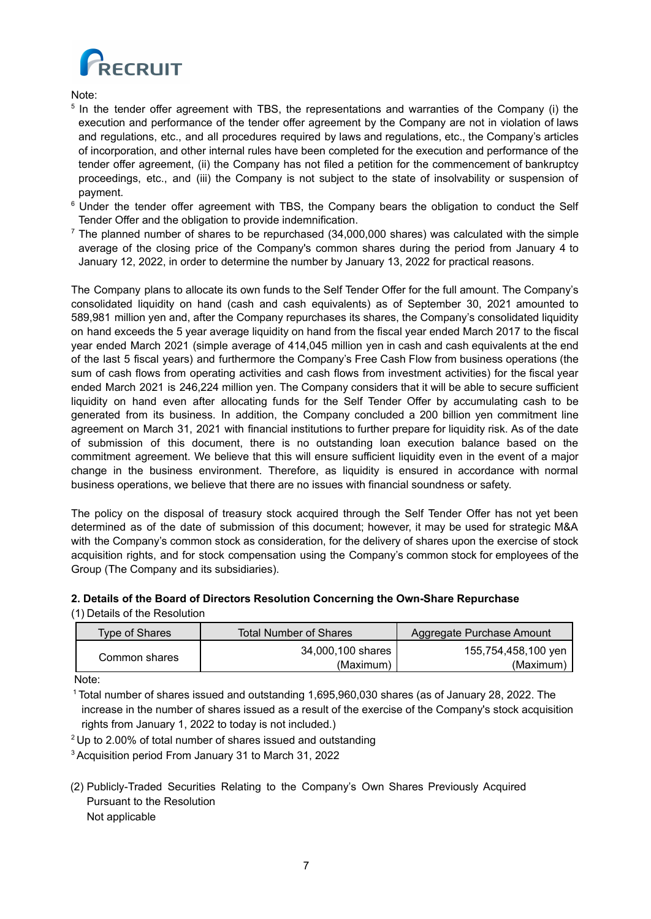

Note:

- <sup>5</sup> In the tender offer agreement with TBS, the representations and warranties of the Company (i) the execution and performance of the tender offer agreement by the Company are not in violation of laws and regulations, etc., and all procedures required by laws and regulations, etc., the Company's articles of incorporation, and other internal rules have been completed for the execution and performance of the tender offer agreement, (ii) the Company has not filed a petition for the commencement of bankruptcy proceedings, etc., and (iii) the Company is not subject to the state of insolvability or suspension of payment.
- <sup>6</sup> Under the tender offer agreement with TBS, the Company bears the obligation to conduct the Self Tender Offer and the obligation to provide indemnification.
- $\frac{7}{1}$  The planned number of shares to be repurchased (34,000,000 shares) was calculated with the simple average of the closing price of the Company's common shares during the period from January 4 to January 12, 2022, in order to determine the number by January 13, 2022 for practical reasons.

The Company plans to allocate its own funds to the Self Tender Offer for the full amount. The Company's consolidated liquidity on hand (cash and cash equivalents) as of September 30, 2021 amounted to 589,981 million yen and, after the Company repurchases its shares, the Company's consolidated liquidity on hand exceeds the 5 year average liquidity on hand from the fiscal year ended March 2017 to the fiscal year ended March 2021 (simple average of 414,045 million yen in cash and cash equivalents at the end of the last 5 fiscal years) and furthermore the Company's Free Cash Flow from business operations (the sum of cash flows from operating activities and cash flows from investment activities) for the fiscal year ended March 2021 is 246,224 million yen. The Company considers that it will be able to secure sufficient liquidity on hand even after allocating funds for the Self Tender Offer by accumulating cash to be generated from its business. In addition, the Company concluded a 200 billion yen commitment line agreement on March 31, 2021 with financial institutions to further prepare for liquidity risk. As of the date of submission of this document, there is no outstanding loan execution balance based on the commitment agreement. We believe that this will ensure sufficient liquidity even in the event of a major change in the business environment. Therefore, as liquidity is ensured in accordance with normal business operations, we believe that there are no issues with financial soundness or safety.

The policy on the disposal of treasury stock acquired through the Self Tender Offer has not yet been determined as of the date of submission of this document; however, it may be used for strategic M&A with the Company's common stock as consideration, for the delivery of shares upon the exercise of stock acquisition rights, and for stock compensation using the Company's common stock for employees of the Group (The Company and its subsidiaries).

# **2. Details of the Board of Directors Resolution Concerning the Own-Share Repurchase**

(1) Details of the Resolution

| Type of Shares | <b>Total Number of Shares</b>  | Aggregate Purchase Amount        |  |
|----------------|--------------------------------|----------------------------------|--|
| Common shares  | 34,000,100 shares<br>(Maximum) | 155,754,458,100 yen<br>(Maximum) |  |

Note:

<sup>1</sup> Total number of shares issued and outstanding 1,695,960,030 shares (as of January 28, 2022. The increase in the number of shares issued as a result of the exercise of the Company's stock acquisition rights from January 1, 2022 to today is not included.)

<sup>2</sup> Up to 2.00% of total number of shares issued and outstanding

<sup>3</sup> Acquisition period From January 31 to March 31, 2022

(2) Publicly-Traded Securities Relating to the Company's Own Shares Previously Acquired Pursuant to the Resolution Not applicable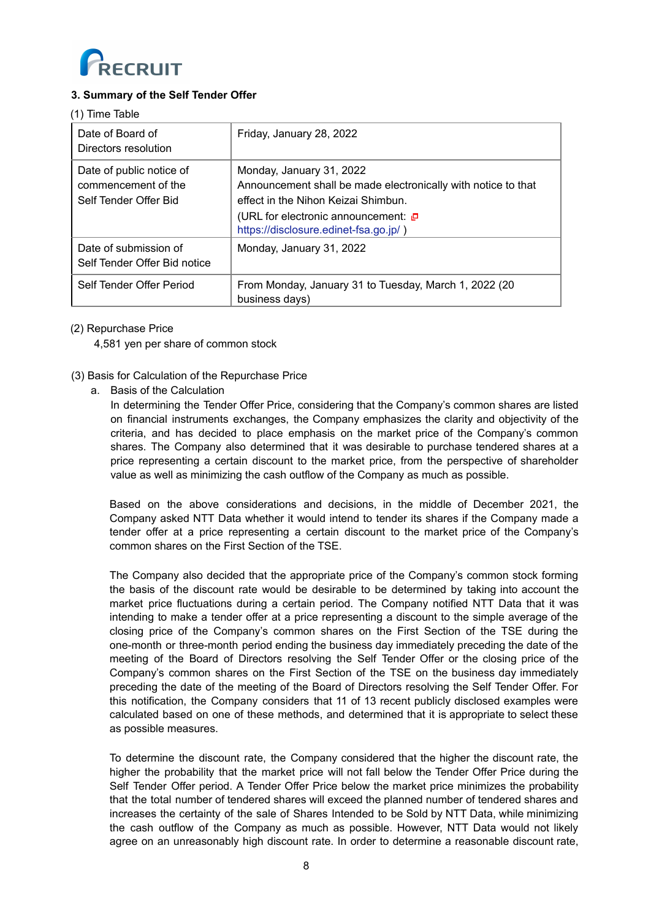

# **3. Summary of the Self Tender Offer**

#### (1) Time Table

| Date of Board of<br>Directors resolution                                 | Friday, January 28, 2022                                                                                                                                                                                         |
|--------------------------------------------------------------------------|------------------------------------------------------------------------------------------------------------------------------------------------------------------------------------------------------------------|
| Date of public notice of<br>commencement of the<br>Self Tender Offer Bid | Monday, January 31, 2022<br>Announcement shall be made electronically with notice to that<br>effect in the Nihon Keizai Shimbun.<br>(URL for electronic announcement: □<br>https://disclosure.edinet-fsa.go.jp/) |
| Date of submission of<br>Self Tender Offer Bid notice                    | Monday, January 31, 2022                                                                                                                                                                                         |
| Self Tender Offer Period                                                 | From Monday, January 31 to Tuesday, March 1, 2022 (20<br>business days)                                                                                                                                          |

# (2) Repurchase Price

4,581 yen per share of common stock

- (3) Basis for Calculation of the Repurchase Price
	- a. Basis of the Calculation

In determining the Tender Offer Price, considering that the Company's common shares are listed on financial instruments exchanges, the Company emphasizes the clarity and objectivity of the criteria, and has decided to place emphasis on the market price of the Company's common shares. The Company also determined that it was desirable to purchase tendered shares at a price representing a certain discount to the market price, from the perspective of shareholder value as well as minimizing the cash outflow of the Company as much as possible.

Based on the above considerations and decisions, in the middle of December 2021, the Company asked NTT Data whether it would intend to tender its shares if the Company made a tender offer at a price representing a certain discount to the market price of the Company's common shares on the First Section of the TSE.

The Company also decided that the appropriate price of the Company's common stock forming the basis of the discount rate would be desirable to be determined by taking into account the market price fluctuations during a certain period. The Company notified NTT Data that it was intending to make a tender offer at a price representing a discount to the simple average of the closing price of the Company's common shares on the First Section of the TSE during the one-month or three-month period ending the business day immediately preceding the date of the meeting of the Board of Directors resolving the Self Tender Offer or the closing price of the Company's common shares on the First Section of the TSE on the business day immediately preceding the date of the meeting of the Board of Directors resolving the Self Tender Offer. For this notification, the Company considers that 11 of 13 recent publicly disclosed examples were calculated based on one of these methods, and determined that it is appropriate to select these as possible measures.

To determine the discount rate, the Company considered that the higher the discount rate, the higher the probability that the market price will not fall below the Tender Offer Price during the Self Tender Offer period. A Tender Offer Price below the market price minimizes the probability that the total number of tendered shares will exceed the planned number of tendered shares and increases the certainty of the sale of Shares Intended to be Sold by NTT Data, while minimizing the cash outflow of the Company as much as possible. However, NTT Data would not likely agree on an unreasonably high discount rate. In order to determine a reasonable discount rate,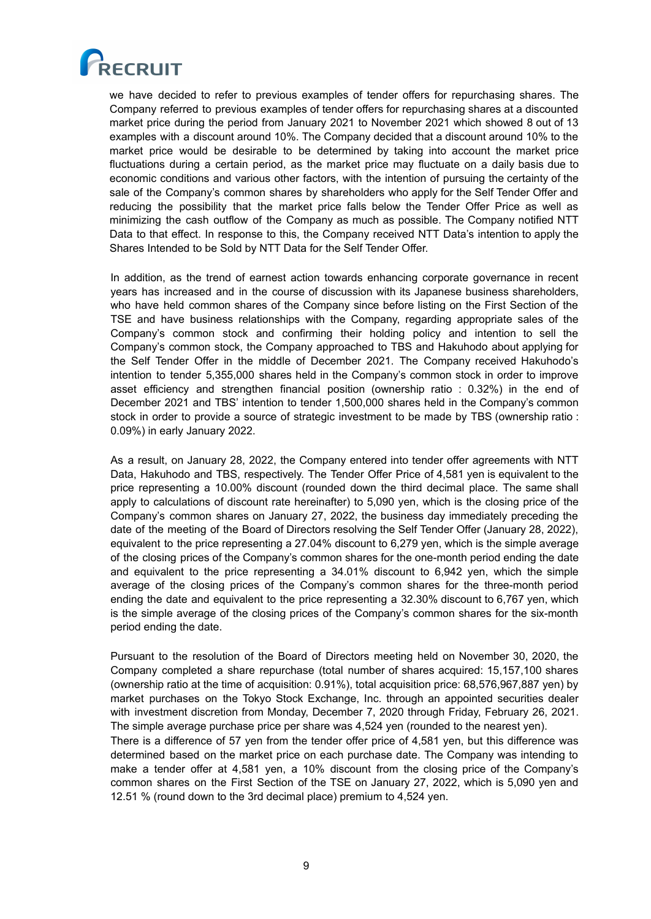

we have decided to refer to previous examples of tender offers for repurchasing shares. The Company referred to previous examples of tender offers for repurchasing shares at a discounted market price during the period from January 2021 to November 2021 which showed 8 out of 13 examples with a discount around 10%. The Company decided that a discount around 10% to the market price would be desirable to be determined by taking into account the market price fluctuations during a certain period, as the market price may fluctuate on a daily basis due to economic conditions and various other factors, with the intention of pursuing the certainty of the sale of the Company's common shares by shareholders who apply for the Self Tender Offer and reducing the possibility that the market price falls below the Tender Offer Price as well as minimizing the cash outflow of the Company as much as possible. The Company notified NTT Data to that effect. In response to this, the Company received NTT Data's intention to apply the Shares Intended to be Sold by NTT Data for the Self Tender Offer.

In addition, as the trend of earnest action towards enhancing corporate governance in recent years has increased and in the course of discussion with its Japanese business shareholders, who have held common shares of the Company since before listing on the First Section of the TSE and have business relationships with the Company, regarding appropriate sales of the Company's common stock and confirming their holding policy and intention to sell the Company's common stock, the Company approached to TBS and Hakuhodo about applying for the Self Tender Offer in the middle of December 2021. The Company received Hakuhodo's intention to tender 5,355,000 shares held in the Company's common stock in order to improve asset efficiency and strengthen financial position (ownership ratio : 0.32%) in the end of December 2021 and TBS' intention to tender 1,500,000 shares held in the Company's common stock in order to provide a source of strategic investment to be made by TBS (ownership ratio : 0.09%) in early January 2022.

As a result, on January 28, 2022, the Company entered into tender offer agreements with NTT Data, Hakuhodo and TBS, respectively. The Tender Offer Price of 4,581 yen is equivalent to the price representing a 10.00% discount (rounded down the third decimal place. The same shall apply to calculations of discount rate hereinafter) to 5,090 yen, which is the closing price of the Company's common shares on January 27, 2022, the business day immediately preceding the date of the meeting of the Board of Directors resolving the Self Tender Offer (January 28, 2022), equivalent to the price representing a 27.04% discount to 6,279 yen, which is the simple average of the closing prices of the Company's common shares for the one-month period ending the date and equivalent to the price representing a 34.01% discount to 6,942 yen, which the simple average of the closing prices of the Company's common shares for the three-month period ending the date and equivalent to the price representing a 32.30% discount to 6,767 yen, which is the simple average of the closing prices of the Company's common shares for the six-month period ending the date.

Pursuant to the resolution of the Board of Directors meeting held on November 30, 2020, the Company completed a share repurchase (total number of shares acquired: 15,157,100 shares (ownership ratio at the time of acquisition: 0.91%), total acquisition price: 68,576,967,887 yen) by market purchases on the Tokyo Stock Exchange, Inc. through an appointed securities dealer with investment discretion from Monday, December 7, 2020 through Friday, February 26, 2021. The simple average purchase price per share was 4,524 yen (rounded to the nearest yen).

There is a difference of 57 yen from the tender offer price of 4,581 yen, but this difference was determined based on the market price on each purchase date. The Company was intending to make a tender offer at 4,581 yen, a 10% discount from the closing price of the Company's common shares on the First Section of the TSE on January 27, 2022, which is 5,090 yen and 12.51 % (round down to the 3rd decimal place) premium to 4,524 yen.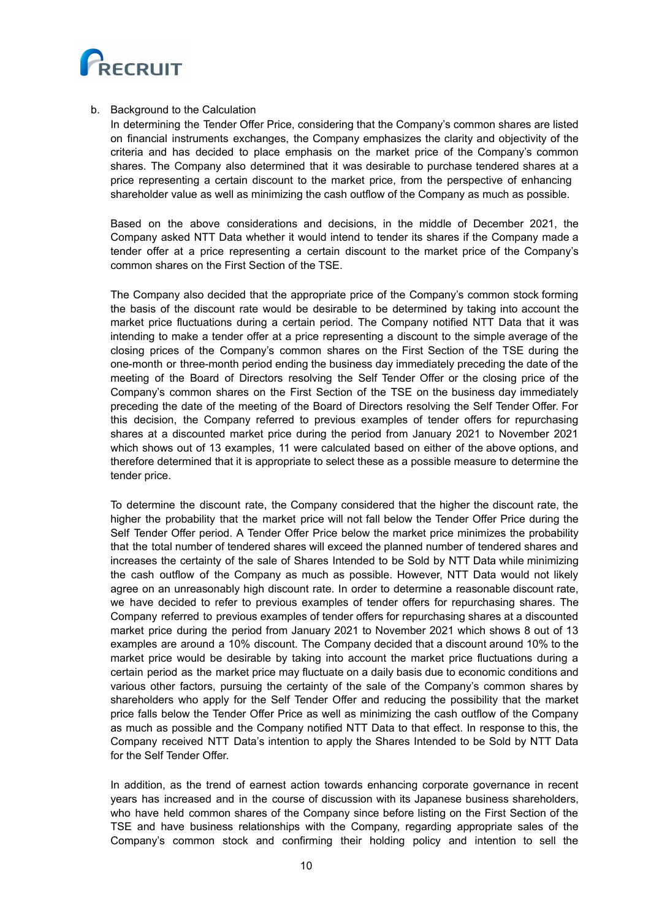

## b. Background to the Calculation

In determining the Tender Offer Price, considering that the Company's common shares are listed on financial instruments exchanges, the Company emphasizes the clarity and objectivity of the criteria and has decided to place emphasis on the market price of the Company's common shares. The Company also determined that it was desirable to purchase tendered shares at a price representing a certain discount to the market price, from the perspective of enhancing shareholder value as well as minimizing the cash outflow of the Company as much as possible.

Based on the above considerations and decisions, in the middle of December 2021, the Company asked NTT Data whether it would intend to tender its shares if the Company made a tender offer at a price representing a certain discount to the market price of the Company's common shares on the First Section of the TSE.

The Company also decided that the appropriate price of the Company's common stock forming the basis of the discount rate would be desirable to be determined by taking into account the market price fluctuations during a certain period. The Company notified NTT Data that it was intending to make a tender offer at a price representing a discount to the simple average of the closing prices of the Company's common shares on the First Section of the TSE during the one-month or three-month period ending the business day immediately preceding the date of the meeting of the Board of Directors resolving the Self Tender Offer or the closing price of the Company's common shares on the First Section of the TSE on the business day immediately preceding the date of the meeting of the Board of Directors resolving the Self Tender Offer. For this decision, the Company referred to previous examples of tender offers for repurchasing shares at a discounted market price during the period from January 2021 to November 2021 which shows out of 13 examples, 11 were calculated based on either of the above options, and therefore determined that it is appropriate to select these as a possible measure to determine the tender price.

To determine the discount rate, the Company considered that the higher the discount rate, the higher the probability that the market price will not fall below the Tender Offer Price during the Self Tender Offer period. A Tender Offer Price below the market price minimizes the probability that the total number of tendered shares will exceed the planned number of tendered shares and increases the certainty of the sale of Shares Intended to be Sold by NTT Data while minimizing the cash outflow of the Company as much as possible. However, NTT Data would not likely agree on an unreasonably high discount rate. In order to determine a reasonable discount rate, we have decided to refer to previous examples of tender offers for repurchasing shares. The Company referred to previous examples of tender offers for repurchasing shares at a discounted market price during the period from January 2021 to November 2021 which shows 8 out of 13 examples are around a 10% discount. The Company decided that a discount around 10% to the market price would be desirable by taking into account the market price fluctuations during a certain period as the market price may fluctuate on a daily basis due to economic conditions and various other factors, pursuing the certainty of the sale of the Company's common shares by shareholders who apply for the Self Tender Offer and reducing the possibility that the market price falls below the Tender Offer Price as well as minimizing the cash outflow of the Company as much as possible and the Company notified NTT Data to that effect. In response to this, the Company received NTT Data's intention to apply the Shares Intended to be Sold by NTT Data for the Self Tender Offer.

In addition, as the trend of earnest action towards enhancing corporate governance in recent years has increased and in the course of discussion with its Japanese business shareholders, who have held common shares of the Company since before listing on the First Section of the TSE and have business relationships with the Company, regarding appropriate sales of the Company's common stock and confirming their holding policy and intention to sell the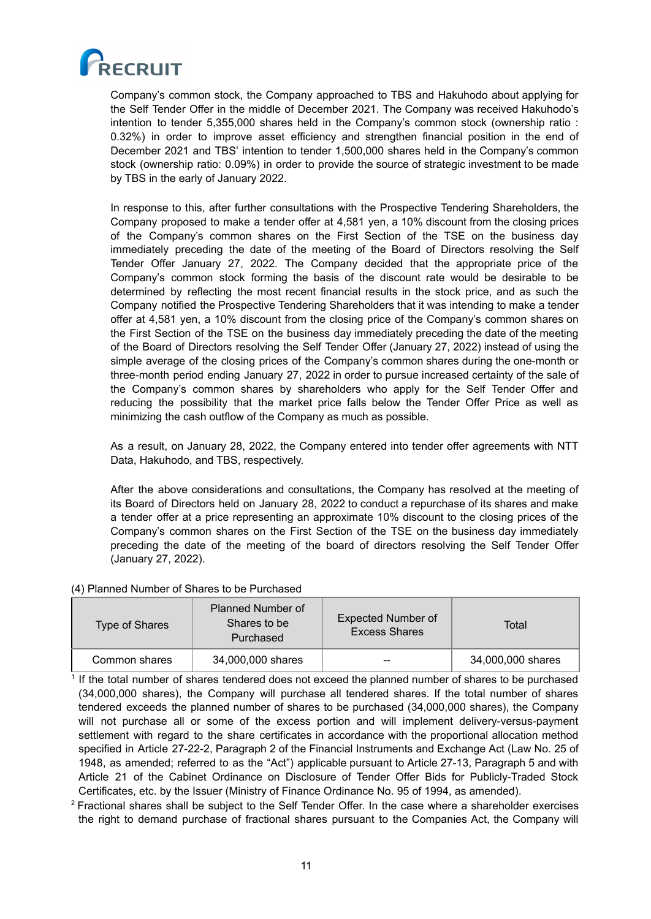

Company's common stock, the Company approached to TBS and Hakuhodo about applying for the Self Tender Offer in the middle of December 2021. The Company was received Hakuhodo's intention to tender 5,355,000 shares held in the Company's common stock (ownership ratio : 0.32%) in order to improve asset efficiency and strengthen financial position in the end of December 2021 and TBS' intention to tender 1,500,000 shares held in the Company's common stock (ownership ratio: 0.09%) in order to provide the source of strategic investment to be made by TBS in the early of January 2022.

In response to this, after further consultations with the Prospective Tendering Shareholders, the Company proposed to make a tender offer at 4,581 yen, a 10% discount from the closing prices of the Company's common shares on the First Section of the TSE on the business day immediately preceding the date of the meeting of the Board of Directors resolving the Self Tender Offer January 27, 2022. The Company decided that the appropriate price of the Company's common stock forming the basis of the discount rate would be desirable to be determined by reflecting the most recent financial results in the stock price, and as such the Company notified the Prospective Tendering Shareholders that it was intending to make a tender offer at 4,581 yen, a 10% discount from the closing price of the Company's common shares on the First Section of the TSE on the business day immediately preceding the date of the meeting of the Board of Directors resolving the Self Tender Offer (January 27, 2022) instead of using the simple average of the closing prices of the Company's common shares during the one-month or three-month period ending January 27, 2022 in order to pursue increased certainty of the sale of the Company's common shares by shareholders who apply for the Self Tender Offer and reducing the possibility that the market price falls below the Tender Offer Price as well as minimizing the cash outflow of the Company as much as possible.

As a result, on January 28, 2022, the Company entered into tender offer agreements with NTT Data, Hakuhodo, and TBS, respectively.

After the above considerations and consultations, the Company has resolved at the meeting of its Board of Directors held on January 28, 2022 to conduct a repurchase of its shares and make a tender offer at a price representing an approximate 10% discount to the closing prices of the Company's common shares on the First Section of the TSE on the business day immediately preceding the date of the meeting of the board of directors resolving the Self Tender Offer (January 27, 2022).

### (4) Planned Number of Shares to be Purchased

| Type of Shares | <b>Planned Number of</b><br>Shares to be<br>Purchased | Expected Number of<br><b>Excess Shares</b> | Total             |
|----------------|-------------------------------------------------------|--------------------------------------------|-------------------|
| Common shares  | 34,000,000 shares                                     | --                                         | 34,000,000 shares |

<sup>1</sup> If the total number of shares tendered does not exceed the planned number of shares to be purchased (34,000,000 shares), the Company will purchase all tendered shares. If the total number of shares tendered exceeds the planned number of shares to be purchased (34,000,000 shares), the Company will not purchase all or some of the excess portion and will implement delivery-versus-payment settlement with regard to the share certificates in accordance with the proportional allocation method specified in Article 27-22-2, Paragraph 2 of the Financial Instruments and Exchange Act (Law No. 25 of 1948, as amended; referred to as the "Act") applicable pursuant to Article 27-13, Paragraph 5 and with Article 21 of the Cabinet Ordinance on Disclosure of Tender Offer Bids for Publicly-Traded Stock Certificates, etc. by the Issuer (Ministry of Finance Ordinance No. 95 of 1994, as amended).

 $2$  Fractional shares shall be subject to the Self Tender Offer. In the case where a shareholder exercises the right to demand purchase of fractional shares pursuant to the Companies Act, the Company will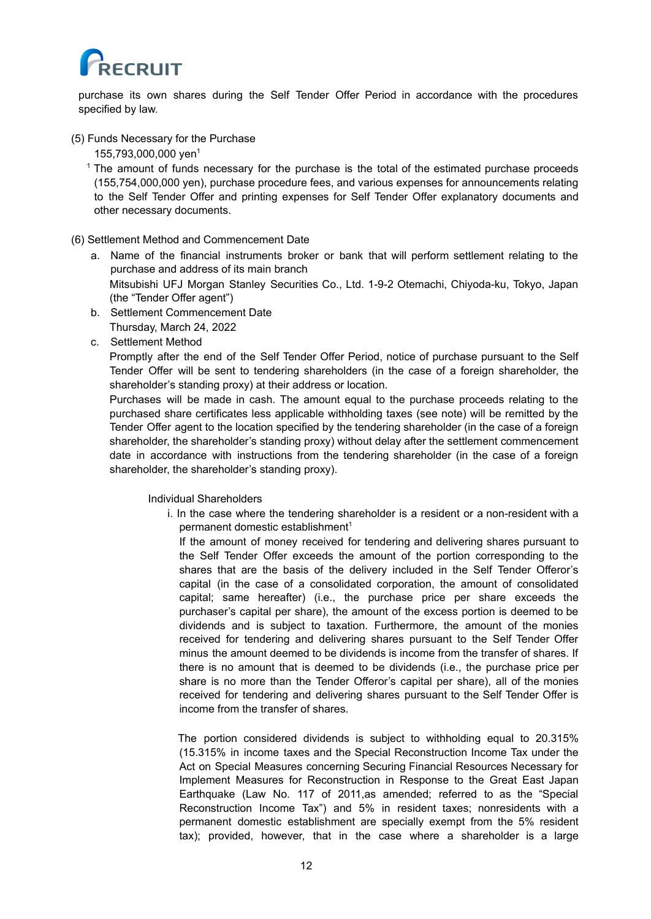

purchase its own shares during the Self Tender Offer Period in accordance with the procedures specified by law.

## (5) Funds Necessary for the Purchase

155,793,000,000 yen 1

- <sup>1</sup> The amount of funds necessary for the purchase is the total of the estimated purchase proceeds (155,754,000,000 yen), purchase procedure fees, and various expenses for announcements relating to the Self Tender Offer and printing expenses for Self Tender Offer explanatory documents and other necessary documents.
- (6) Settlement Method and Commencement Date
	- a. Name of the financial instruments broker or bank that will perform settlement relating to the purchase and address of its main branch Mitsubishi UFJ Morgan Stanley Securities Co., Ltd. 1-9-2 Otemachi, Chiyoda-ku, Tokyo, Japan (the "Tender Offer agent")
	- b. Settlement Commencement Date Thursday, March 24, 2022
	- c. Settlement Method

Promptly after the end of the Self Tender Offer Period, notice of purchase pursuant to the Self Tender Offer will be sent to tendering shareholders (in the case of a foreign shareholder, the shareholder's standing proxy) at their address or location.

Purchases will be made in cash. The amount equal to the purchase proceeds relating to the purchased share certificates less applicable withholding taxes (see note) will be remitted by the Tender Offer agent to the location specified by the tendering shareholder (in the case of a foreign shareholder, the shareholder's standing proxy) without delay after the settlement commencement date in accordance with instructions from the tendering shareholder (in the case of a foreign shareholder, the shareholder's standing proxy).

Individual Shareholders

i. In the case where the tendering shareholder is a resident or a non-resident with a permanent domestic establishment 1

If the amount of money received for tendering and delivering shares pursuant to the Self Tender Offer exceeds the amount of the portion corresponding to the shares that are the basis of the delivery included in the Self Tender Offeror's capital (in the case of a consolidated corporation, the amount of consolidated capital; same hereafter) (i.e., the purchase price per share exceeds the purchaser's capital per share), the amount of the excess portion is deemed to be dividends and is subject to taxation. Furthermore, the amount of the monies received for tendering and delivering shares pursuant to the Self Tender Offer minus the amount deemed to be dividends is income from the transfer of shares. If there is no amount that is deemed to be dividends (i.e., the purchase price per share is no more than the Tender Offeror's capital per share), all of the monies received for tendering and delivering shares pursuant to the Self Tender Offer is income from the transfer of shares.

The portion considered dividends is subject to withholding equal to 20.315% (15.315% in income taxes and the Special Reconstruction Income Tax under the Act on Special Measures concerning Securing Financial Resources Necessary for Implement Measures for Reconstruction in Response to the Great East Japan Earthquake (Law No. 117 of 2011,as amended; referred to as the "Special Reconstruction Income Tax") and 5% in resident taxes; nonresidents with a permanent domestic establishment are specially exempt from the 5% resident tax); provided, however, that in the case where a shareholder is a large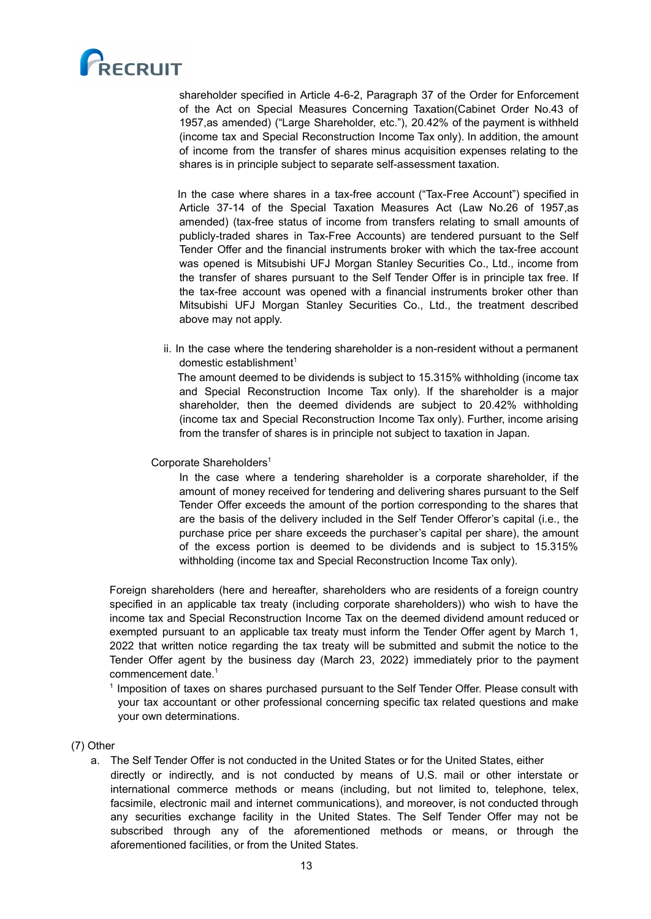

shareholder specified in Article 4-6-2, Paragraph 37 of the Order for Enforcement of the Act on Special Measures Concerning Taxation(Cabinet Order No.43 of 1957,as amended) ("Large Shareholder, etc."), 20.42% of the payment is withheld (income tax and Special Reconstruction Income Tax only). In addition, the amount of income from the transfer of shares minus acquisition expenses relating to the shares is in principle subject to separate self-assessment taxation.

In the case where shares in a tax-free account ("Tax-Free Account") specified in Article 37-14 of the Special Taxation Measures Act (Law No.26 of 1957,as amended) (tax-free status of income from transfers relating to small amounts of publicly-traded shares in Tax-Free Accounts) are tendered pursuant to the Self Tender Offer and the financial instruments broker with which the tax-free account was opened is Mitsubishi UFJ Morgan Stanley Securities Co., Ltd., income from the transfer of shares pursuant to the Self Tender Offer is in principle tax free. If the tax-free account was opened with a financial instruments broker other than Mitsubishi UFJ Morgan Stanley Securities Co., Ltd., the treatment described above may not apply.

ii. In the case where the tendering shareholder is a non-resident without a permanent domestic establishment 1

The amount deemed to be dividends is subject to 15.315% withholding (income tax and Special Reconstruction Income Tax only). If the shareholder is a major shareholder, then the deemed dividends are subject to 20.42% withholding (income tax and Special Reconstruction Income Tax only). Further, income arising from the transfer of shares is in principle not subject to taxation in Japan.

# Corporate Shareholders<sup>1</sup>

In the case where a tendering shareholder is a corporate shareholder, if the amount of money received for tendering and delivering shares pursuant to the Self Tender Offer exceeds the amount of the portion corresponding to the shares that are the basis of the delivery included in the Self Tender Offeror's capital (i.e., the purchase price per share exceeds the purchaser's capital per share), the amount of the excess portion is deemed to be dividends and is subject to 15.315% withholding (income tax and Special Reconstruction Income Tax only).

Foreign shareholders (here and hereafter, shareholders who are residents of a foreign country specified in an applicable tax treaty (including corporate shareholders)) who wish to have the income tax and Special Reconstruction Income Tax on the deemed dividend amount reduced or exempted pursuant to an applicable tax treaty must inform the Tender Offer agent by March 1, 2022 that written notice regarding the tax treaty will be submitted and submit the notice to the Tender Offer agent by the business day (March 23, 2022) immediately prior to the payment commencement date. 1

<sup>1</sup> Imposition of taxes on shares purchased pursuant to the Self Tender Offer. Please consult with your tax accountant or other professional concerning specific tax related questions and make your own determinations.

## (7) Other

- a. The Self Tender Offer is not conducted in the United States or for the United States, either
	- directly or indirectly, and is not conducted by means of U.S. mail or other interstate or international commerce methods or means (including, but not limited to, telephone, telex, facsimile, electronic mail and internet communications), and moreover, is not conducted through any securities exchange facility in the United States. The Self Tender Offer may not be subscribed through any of the aforementioned methods or means, or through the aforementioned facilities, or from the United States.